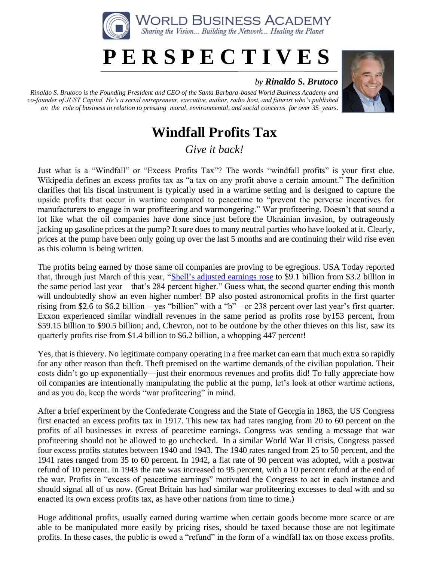

## **P E R S P E C T I V E S**

## *by Rinaldo S. Brutoco*

*Rinaldo S. Brutoco is the Founding President and CEO of the Santa Barbara-based World Business Academy and co-founder of JUST Capital. He's a serial entrepreneur, executive, author, radio host, and futurist who's published on the role of business in relation to pressing moral, environmental, and social concerns for over 35 years.*



## **Windfall Profits Tax**

*Give it back!*

Just what is a "Windfall" or "Excess Profits Tax"? The words "windfall profits" is your first clue. Wikipedia defines an excess profits tax as "a tax on any profit above a certain amount." The definition clarifies that his fiscal instrument is typically used in a wartime setting and is designed to capture the upside profits that occur in wartime compared to peacetime to "prevent the perverse incentives for manufacturers to engage in war profiteering and warmongering." War profiteering. Doesn't that sound a lot like what the oil companies have done since just before the Ukrainian invasion, by outrageously jacking up gasoline prices at the pump? It sure does to many neutral parties who have looked at it. Clearly, prices at the pump have been only going up over the last 5 months and are continuing their wild rise even as this column is being written.

The profits being earned by those same oil companies are proving to be egregious. USA Today reported that, through just March of this year, "Shell's [adjusted earnings rose](https://www.usatoday.com/story/money/2022/05/07/shell-record-proft-oil-prices-soar/9686569002/) to \$9.1 billion from \$3.2 billion in the same period last year—that's 284 percent higher." Guess what, the second quarter ending this month will undoubtedly show an even higher number! BP also posted astronomical profits in the first quarter rising from \$2.6 to \$6.2 billion – yes "billion" with a "b"—or 238 percent over last year's first quarter. Exxon experienced similar windfall revenues in the same period as profits rose by153 percent, from \$59.15 billion to \$90.5 billion; and, Chevron, not to be outdone by the other thieves on this list, saw its quarterly profits rise from \$1.4 billion to \$6.2 billion, a whopping 447 percent!

Yes, that is thievery. No legitimate company operating in a free market can earn that much extra so rapidly for any other reason than theft. Theft premised on the wartime demands of the civilian population. Their costs didn't go up exponentially—just their enormous revenues and profits did! To fully appreciate how oil companies are intentionally manipulating the public at the pump, let's look at other wartime actions, and as you do, keep the words "war profiteering" in mind.

After a brief experiment by the Confederate Congress and the State of Georgia in 1863, the US Congress first enacted an excess profits tax in 1917. This new tax had rates ranging from 20 to 60 percent on the profits of all businesses in excess of peacetime earnings. Congress was sending a message that war profiteering should not be allowed to go unchecked. In a similar World War II crisis, Congress passed four excess profits statutes between 1940 and 1943. The 1940 rates ranged from 25 to 50 percent, and the 1941 rates ranged from 35 to 60 percent. In 1942, a flat rate of 90 percent was adopted, with a postwar refund of 10 percent. In 1943 the rate was increased to 95 percent, with a 10 percent refund at the end of the war. Profits in "excess of peacetime earnings" motivated the Congress to act in each instance and should signal all of us now. (Great Britain has had similar war profiteering excesses to deal with and so enacted its own excess profits tax, as have other nations from time to time.)

Huge additional profits, usually earned during wartime when certain goods become more scarce or are able to be manipulated more easily by pricing rises, should be taxed because those are not legitimate profits. In these cases, the public is owed a "refund" in the form of a windfall tax on those excess profits.